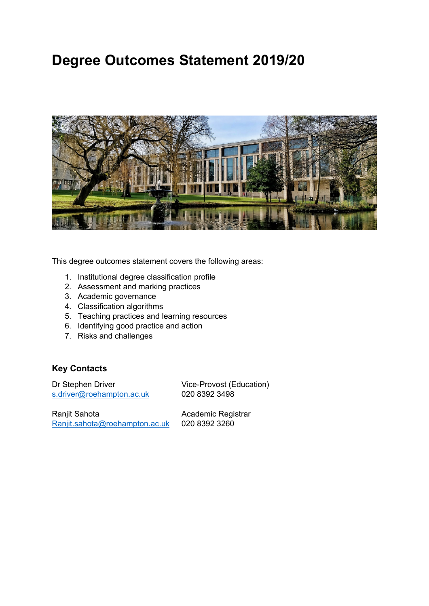# **Degree Outcomes Statement 2019/20**



This degree outcomes statement covers the following areas:

- 1. Institutional degree classification profile
- 2. Assessment and marking practices
- 3. Academic governance
- 4. Classification algorithms
- 5. Teaching practices and learning resources
- 6. Identifying good practice and action
- 7. Risks and challenges

## **Key Contacts**

Dr Stephen Driver Vice-Provost (Education) [s.driver@roehampton.ac.uk](mailto:s.driver@roehampton.ac.uk) 020 8392 3498

Ranjit Sahota **Academic Registrar**<br>Ranjit.sahota@roehampton.ac.uk 020 8392 3260  $Ran$ jit.sahota@roehampton.ac.uk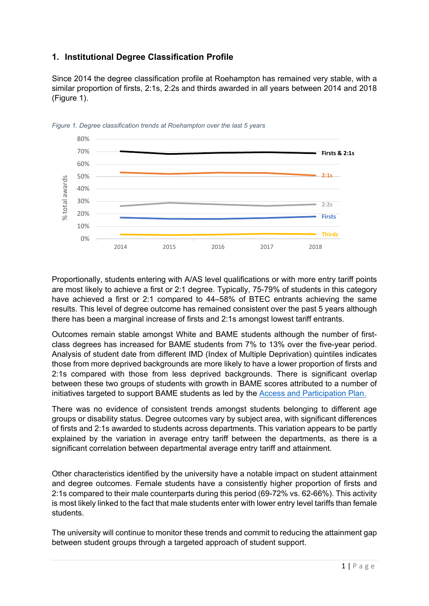## **1. Institutional Degree Classification Profile**

Since 2014 the degree classification profile at Roehampton has remained very stable, with a similar proportion of firsts, 2:1s, 2:2s and thirds awarded in all years between 2014 and 2018 [\(Figure 1\)](#page-1-0).



<span id="page-1-0"></span>*Figure 1. Degree classification trends at Roehampton over the last 5 years*

Proportionally, students entering with A/AS level qualifications or with more entry tariff points are most likely to achieve a first or 2:1 degree. Typically, 75-79% of students in this category have achieved a first or 2:1 compared to 44–58% of BTEC entrants achieving the same results. This level of degree outcome has remained consistent over the past 5 years although there has been a marginal increase of firsts and 2:1s amongst lowest tariff entrants.

Outcomes remain stable amongst White and BAME students although the number of firstclass degrees has increased for BAME students from 7% to 13% over the five-year period. Analysis of student date from different IMD (Index of Multiple Deprivation) quintiles indicates those from more deprived backgrounds are more likely to have a lower proportion of firsts and 2:1s compared with those from less deprived backgrounds. There is significant overlap between these two groups of students with growth in BAME scores attributed to a number of initiatives targeted to support BAME students as led by the [Access and Participation Plan.](https://www.roehampton.ac.uk/globalassets/documents/corporate-information/access-and-participation-plan-2020-21.pdf)

There was no evidence of consistent trends amongst students belonging to different age groups or disability status. Degree outcomes vary by subject area, with significant differences of firsts and 2:1s awarded to students across departments. This variation appears to be partly explained by the variation in average entry tariff between the departments, as there is a significant correlation between departmental average entry tariff and attainment.

Other characteristics identified by the university have a notable impact on student attainment and degree outcomes. Female students have a consistently higher proportion of firsts and 2:1s compared to their male counterparts during this period (69-72% vs. 62-66%). This activity is most likely linked to the fact that male students enter with lower entry level tariffs than female students.

The university will continue to monitor these trends and commit to reducing the attainment gap between student groups through a targeted approach of student support.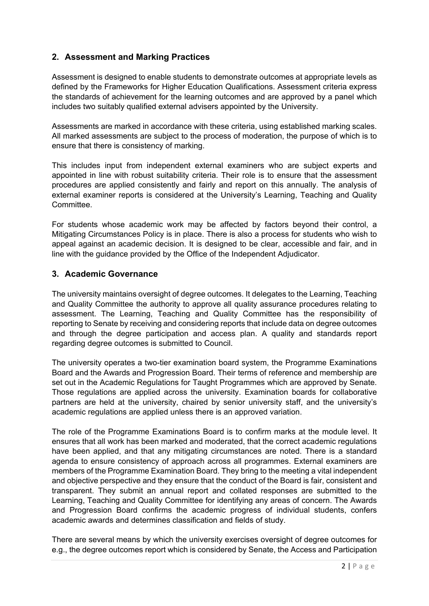## **2. Assessment and Marking Practices**

Assessment is designed to enable students to demonstrate outcomes at appropriate levels as defined by the Frameworks for Higher Education Qualifications. Assessment criteria express the standards of achievement for the learning outcomes and are approved by a panel which includes two suitably qualified external advisers appointed by the University.

Assessments are marked in accordance with these criteria, using established marking scales. All marked assessments are subject to the process of moderation, the purpose of which is to ensure that there is consistency of marking.

This includes input from independent external examiners who are subject experts and appointed in line with robust suitability criteria. Their role is to ensure that the assessment procedures are applied consistently and fairly and report on this annually. The analysis of external examiner reports is considered at the University's Learning, Teaching and Quality Committee.

For students whose academic work may be affected by factors beyond their control, a Mitigating Circumstances Policy is in place. There is also a process for students who wish to appeal against an academic decision. It is designed to be clear, accessible and fair, and in line with the guidance provided by the Office of the Independent Adjudicator.

#### **3. Academic Governance**

The university maintains oversight of degree outcomes. It delegates to the Learning, Teaching and Quality Committee the authority to approve all quality assurance procedures relating to assessment. The Learning, Teaching and Quality Committee has the responsibility of reporting to Senate by receiving and considering reports that include data on degree outcomes and through the degree participation and access plan. A quality and standards report regarding degree outcomes is submitted to Council.

The university operates a two-tier examination board system, the Programme Examinations Board and the Awards and Progression Board. Their terms of reference and membership are set out in the Academic Regulations for Taught Programmes which are approved by Senate. Those regulations are applied across the university. Examination boards for collaborative partners are held at the university, chaired by senior university staff, and the university's academic regulations are applied unless there is an approved variation.

The role of the Programme Examinations Board is to confirm marks at the module level. It ensures that all work has been marked and moderated, that the correct academic regulations have been applied, and that any mitigating circumstances are noted. There is a standard agenda to ensure consistency of approach across all programmes. External examiners are members of the Programme Examination Board. They bring to the meeting a vital independent and objective perspective and they ensure that the conduct of the Board is fair, consistent and transparent. They submit an annual report and collated responses are submitted to the Learning, Teaching and Quality Committee for identifying any areas of concern. The Awards and Progression Board confirms the academic progress of individual students, confers academic awards and determines classification and fields of study.

There are several means by which the university exercises oversight of degree outcomes for e.g., the degree outcomes report which is considered by Senate, the Access and Participation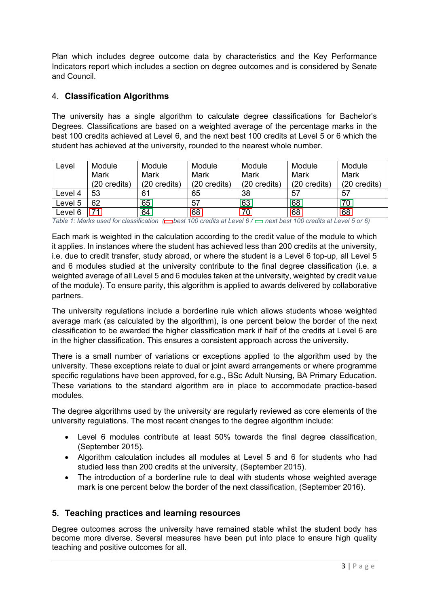Plan which includes degree outcome data by characteristics and the Key Performance Indicators report which includes a section on degree outcomes and is considered by Senate and Council.

## 4. **Classification Algorithms**

The university has a single algorithm to calculate degree classifications for Bachelor's Degrees. Classifications are based on a weighted average of the percentage marks in the best 100 credits achieved at Level 6, and the next best 100 credits at Level 5 or 6 which the student has achieved at the university, rounded to the nearest whole number.

| Level   | Module          | Module                 | Module       | Module          | Module                 | Module       |
|---------|-----------------|------------------------|--------------|-----------------|------------------------|--------------|
|         | Mark            | Mark                   | Mark         | Mark            | Mark                   | <b>Mark</b>  |
|         | (20 credits)    | $(20 \text{ credits})$ | (20 credits) | (20 credits)    | $(20 \text{ credits})$ | (20 credits) |
| Level 4 | 53              | 61                     | 65           | 38              | 57                     | 57           |
| Level 5 | 62              | 65                     | 57           | 63              | 68                     | 70           |
| Level 6 | $\overline{71}$ | 64                     | 68           | $\overline{70}$ | 68                     | 68           |

*Table 1: Marks used for classification* ( $\Box$ best 100 credits at Level 6 /  $\Box$  next best 100 credits at Level 5 or 6)

Each mark is weighted in the calculation according to the credit value of the module to which it applies. In instances where the student has achieved less than 200 credits at the university, i.e. due to credit transfer, study abroad, or where the student is a Level 6 top-up, all Level 5 and 6 modules studied at the university contribute to the final degree classification (i.e. a weighted average of all Level 5 and 6 modules taken at the university, weighted by credit value of the module). To ensure parity, this algorithm is applied to awards delivered by collaborative partners.

The university regulations include a borderline rule which allows students whose weighted average mark (as calculated by the algorithm), is one percent below the border of the next classification to be awarded the higher classification mark if half of the credits at Level 6 are in the higher classification. This ensures a consistent approach across the university.

There is a small number of variations or exceptions applied to the algorithm used by the university. These exceptions relate to dual or joint award arrangements or where programme specific regulations have been approved, for e.g., BSc Adult Nursing, BA Primary Education. These variations to the standard algorithm are in place to accommodate practice-based modules.

The degree algorithms used by the university are regularly reviewed as core elements of the university regulations. The most recent changes to the degree algorithm include:

- Level 6 modules contribute at least 50% towards the final degree classification, (September 2015).
- Algorithm calculation includes all modules at Level 5 and 6 for students who had studied less than 200 credits at the university, (September 2015).
- The introduction of a borderline rule to deal with students whose weighted average mark is one percent below the border of the next classification, (September 2016).

#### **5. Teaching practices and learning resources**

Degree outcomes across the university have remained stable whilst the student body has become more diverse. Several measures have been put into place to ensure high quality teaching and positive outcomes for all.